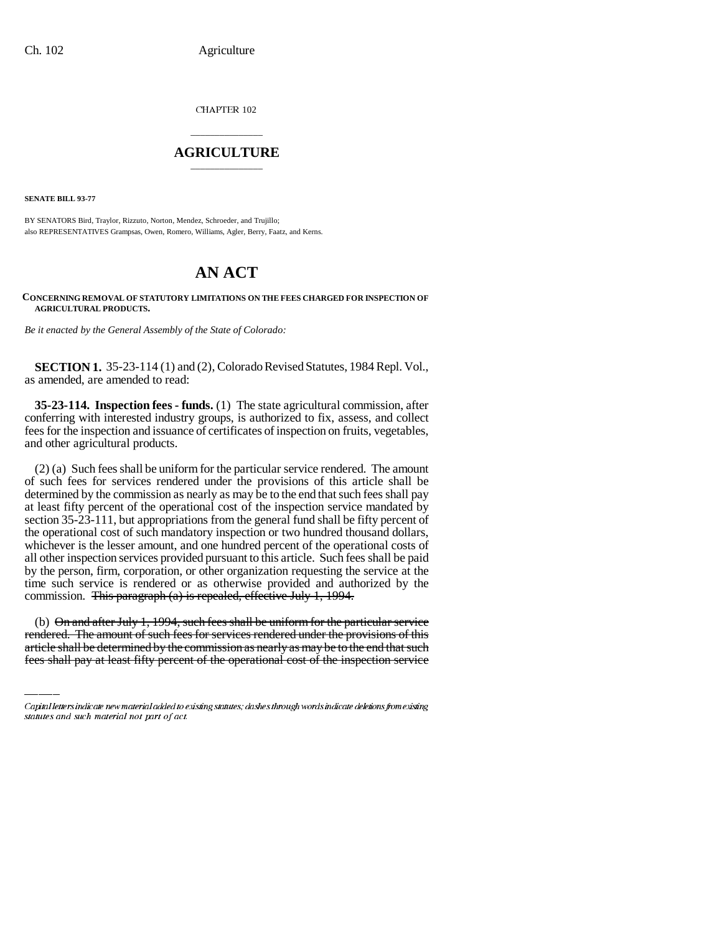CHAPTER 102

## \_\_\_\_\_\_\_\_\_\_\_\_\_\_\_ **AGRICULTURE** \_\_\_\_\_\_\_\_\_\_\_\_\_\_\_

**SENATE BILL 93-77**

BY SENATORS Bird, Traylor, Rizzuto, Norton, Mendez, Schroeder, and Trujillo; also REPRESENTATIVES Grampsas, Owen, Romero, Williams, Agler, Berry, Faatz, and Kerns.

## **AN ACT**

## **CONCERNING REMOVAL OF STATUTORY LIMITATIONS ON THE FEES CHARGED FOR INSPECTION OF AGRICULTURAL PRODUCTS.**

*Be it enacted by the General Assembly of the State of Colorado:*

**SECTION 1.** 35-23-114 (1) and (2), Colorado Revised Statutes, 1984 Repl. Vol., as amended, are amended to read:

**35-23-114. Inspection fees - funds.** (1) The state agricultural commission, after conferring with interested industry groups, is authorized to fix, assess, and collect fees for the inspection and issuance of certificates of inspection on fruits, vegetables, and other agricultural products.

commission. <del>This paragraph (a) is repealed, effective July 1, 1994.</del> (2) (a) Such fees shall be uniform for the particular service rendered. The amount of such fees for services rendered under the provisions of this article shall be determined by the commission as nearly as may be to the end that such fees shall pay at least fifty percent of the operational cost of the inspection service mandated by section 35-23-111, but appropriations from the general fund shall be fifty percent of the operational cost of such mandatory inspection or two hundred thousand dollars, whichever is the lesser amount, and one hundred percent of the operational costs of all other inspection services provided pursuant to this article. Such fees shall be paid by the person, firm, corporation, or other organization requesting the service at the time such service is rendered or as otherwise provided and authorized by the

(b) On and after July 1, 1994, such fees shall be uniform for the particular service rendered. The amount of such fees for services rendered under the provisions of this article shall be determined by the commission as nearly as may be to the end that such fees shall pay at least fifty percent of the operational cost of the inspection service

Capital letters indicate new material added to existing statutes; dashes through words indicate deletions from existing statutes and such material not part of act.